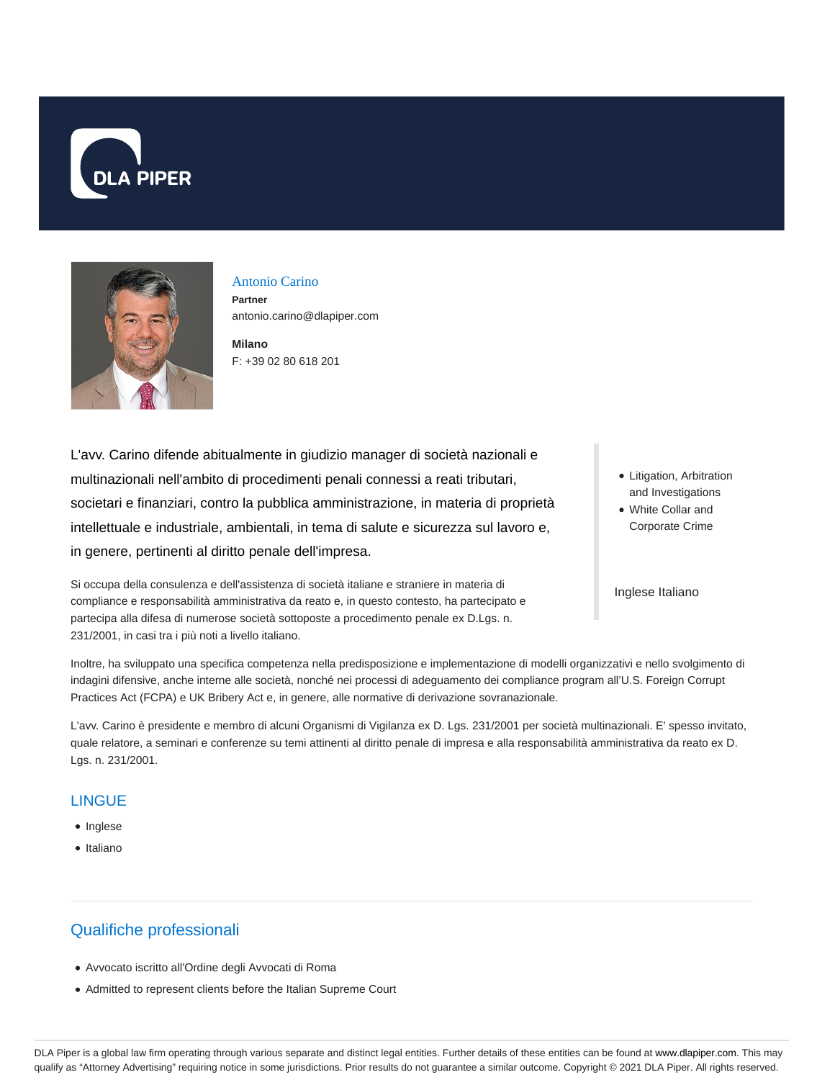



#### Antonio Carino

**Partner** antonio.carino@dlapiper.com

**Milano** F: +39 02 80 618 201

L'avv. Carino difende abitualmente in giudizio manager di società nazionali e multinazionali nell'ambito di procedimenti penali connessi a reati tributari, societari e finanziari, contro la pubblica amministrazione, in materia di proprietà intellettuale e industriale, ambientali, in tema di salute e sicurezza sul lavoro e, in genere, pertinenti al diritto penale dell'impresa.

Si occupa della consulenza e dell'assistenza di società italiane e straniere in materia di compliance e responsabilità amministrativa da reato e, in questo contesto, ha partecipato e partecipa alla difesa di numerose società sottoposte a procedimento penale ex D.Lgs. n. 231/2001, in casi tra i più noti a livello italiano.

• Litigation, Arbitration and Investigations

White Collar and Corporate Crime

Inglese Italiano

Inoltre, ha sviluppato una specifica competenza nella predisposizione e implementazione di modelli organizzativi e nello svolgimento di indagini difensive, anche interne alle società, nonché nei processi di adeguamento dei compliance program all'U.S. Foreign Corrupt Practices Act (FCPA) e UK Bribery Act e, in genere, alle normative di derivazione sovranazionale.

L'avv. Carino è presidente e membro di alcuni Organismi di Vigilanza ex D. Lgs. 231/2001 per società multinazionali. E' spesso invitato, quale relatore, a seminari e conferenze su temi attinenti al diritto penale di impresa e alla responsabilità amministrativa da reato ex D. Lgs. n. 231/2001.

#### **LINGUE**

- Inglese
- Italiano

# Qualifiche professionali

- Avvocato iscritto all'Ordine degli Avvocati di Roma
- Admitted to represent clients before the Italian Supreme Court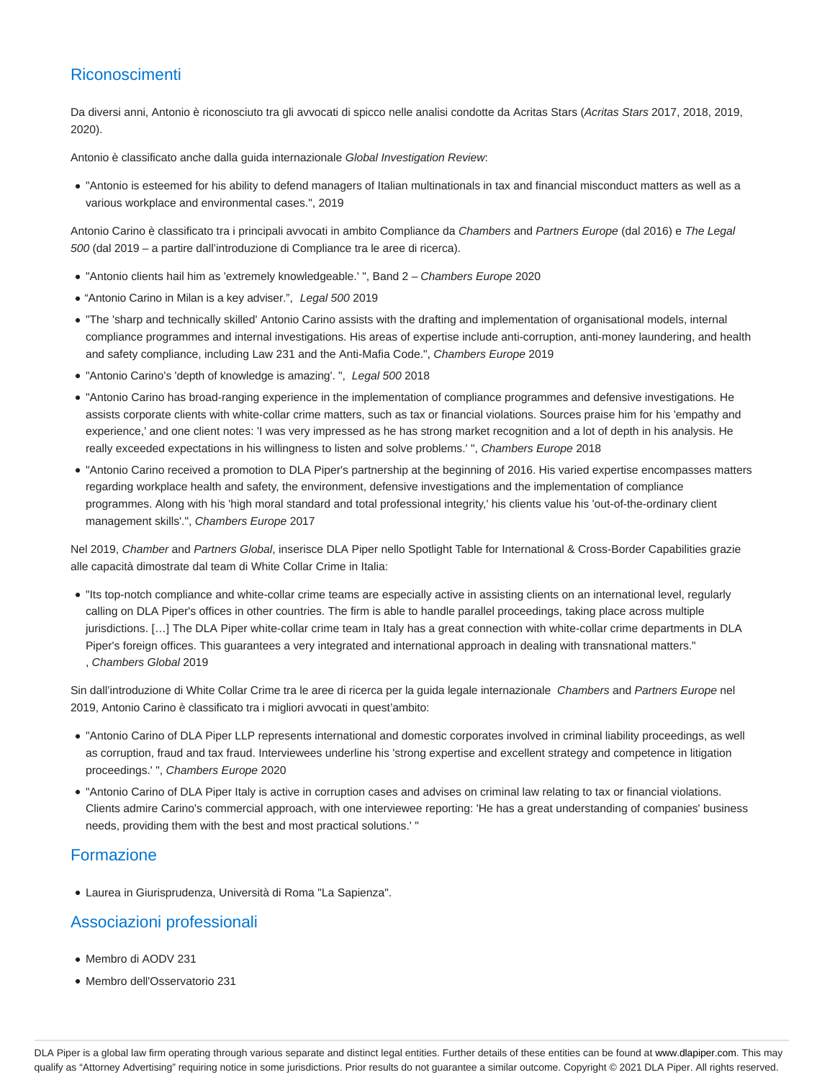# Riconoscimenti

Da diversi anni, Antonio è riconosciuto tra gli avvocati di spicco nelle analisi condotte da Acritas Stars (Acritas Stars 2017, 2018, 2019, 2020).

Antonio è classificato anche dalla guida internazionale Global Investigation Review:

"Antonio is esteemed for his ability to defend managers of Italian multinationals in tax and financial misconduct matters as well as a various workplace and environmental cases.", 2019

Antonio Carino è classificato tra i principali avvocati in ambito Compliance da Chambers and Partners Europe (dal 2016) e The Legal 500 (dal 2019 – a partire dall'introduzione di Compliance tra le aree di ricerca).

- "Antonio clients hail him as 'extremely knowledgeable.' ", Band 2 Chambers Europe 2020
- "Antonio Carino in Milan is a key adviser.", Legal 500 2019
- "The 'sharp and technically skilled' Antonio Carino assists with the drafting and implementation of organisational models, internal compliance programmes and internal investigations. His areas of expertise include anti-corruption, anti-money laundering, and health and safety compliance, including Law 231 and the Anti-Mafia Code.", Chambers Europe 2019
- "Antonio Carino's 'depth of knowledge is amazing'. ", Legal 500 2018
- "Antonio Carino has broad-ranging experience in the implementation of compliance programmes and defensive investigations. He assists corporate clients with white-collar crime matters, such as tax or financial violations. Sources praise him for his 'empathy and experience,' and one client notes: 'I was very impressed as he has strong market recognition and a lot of depth in his analysis. He really exceeded expectations in his willingness to listen and solve problems.' ", Chambers Europe 2018
- "Antonio Carino received a promotion to DLA Piper's partnership at the beginning of 2016. His varied expertise encompasses matters regarding workplace health and safety, the environment, defensive investigations and the implementation of compliance programmes. Along with his 'high moral standard and total professional integrity,' his clients value his 'out-of-the-ordinary client management skills'.", Chambers Europe 2017

Nel 2019, Chamber and Partners Global, inserisce DLA Piper nello Spotlight Table for International & Cross-Border Capabilities grazie alle capacità dimostrate dal team di White Collar Crime in Italia:

"Its top-notch compliance and white-collar crime teams are especially active in assisting clients on an international level, regularly calling on DLA Piper's offices in other countries. The firm is able to handle parallel proceedings, taking place across multiple jurisdictions. […] The DLA Piper white-collar crime team in Italy has a great connection with white-collar crime departments in DLA Piper's foreign offices. This guarantees a very integrated and international approach in dealing with transnational matters." , Chambers Global 2019

Sin dall'introduzione di White Collar Crime tra le aree di ricerca per la guida legale internazionale Chambers and Partners Europe nel 2019, Antonio Carino è classificato tra i migliori avvocati in quest'ambito:

- "Antonio Carino of DLA Piper LLP represents international and domestic corporates involved in criminal liability proceedings, as well as corruption, fraud and tax fraud. Interviewees underline his 'strong expertise and excellent strategy and competence in litigation proceedings.' ", Chambers Europe 2020
- "Antonio Carino of DLA Piper Italy is active in corruption cases and advises on criminal law relating to tax or financial violations. Clients admire Carino's commercial approach, with one interviewee reporting: 'He has a great understanding of companies' business needs, providing them with the best and most practical solutions.' "

# Formazione

Laurea in Giurisprudenza, Università di Roma "La Sapienza".

### Associazioni professionali

- Membro di AODV 231
- Membro dell'Osservatorio 231